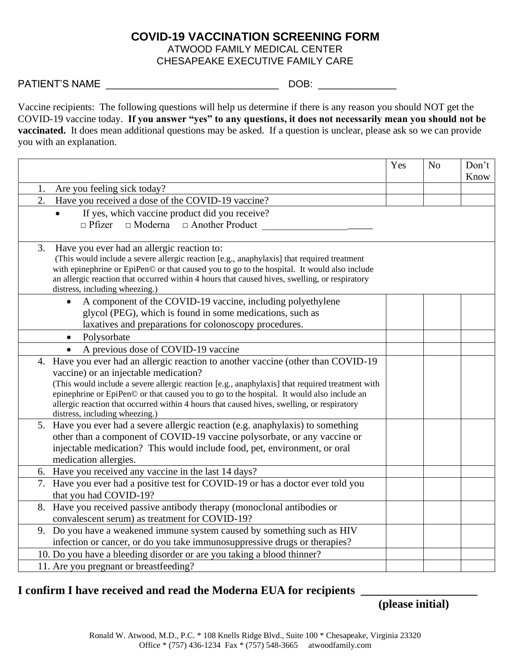## **COVID-19 VACCINATION SCREENING FORM** ATWOOD FAMILY MEDICAL CENTER CHESAPEAKE EXECUTIVE FAMILY CARE

PATIENT'S NAME \_\_\_\_\_\_\_\_\_\_\_\_\_\_\_\_\_\_\_\_\_\_\_\_\_\_\_\_\_\_\_ DOB: \_\_\_\_\_\_\_\_\_\_\_\_\_\_

Vaccine recipients: The following questions will help us determine if there is any reason you should NOT get the COVID-19 vaccine today. **If you answer "yes" to any questions, it does not necessarily mean you should not be vaccinated.** It does mean additional questions may be asked. If a question is unclear, please ask so we can provide you with an explanation.

|                                                                                                                                                                                                                                                                                                                                                                                                                                                            | Yes | N <sub>o</sub> | Don't<br>Know |  |  |  |
|------------------------------------------------------------------------------------------------------------------------------------------------------------------------------------------------------------------------------------------------------------------------------------------------------------------------------------------------------------------------------------------------------------------------------------------------------------|-----|----------------|---------------|--|--|--|
| Are you feeling sick today?<br>1.                                                                                                                                                                                                                                                                                                                                                                                                                          |     |                |               |  |  |  |
| 2.<br>Have you received a dose of the COVID-19 vaccine?                                                                                                                                                                                                                                                                                                                                                                                                    |     |                |               |  |  |  |
| If yes, which vaccine product did you receive?<br>$\Box$ Pfizer<br>$\Box$ Moderna $\Box$ Another Product                                                                                                                                                                                                                                                                                                                                                   |     |                |               |  |  |  |
| Have you ever had an allergic reaction to:<br>3.<br>(This would include a severe allergic reaction [e.g., anaphylaxis] that required treatment<br>with epinephrine or EpiPen© or that caused you to go to the hospital. It would also include<br>an allergic reaction that occurred within 4 hours that caused hives, swelling, or respiratory<br>distress, including wheezing.)                                                                           |     |                |               |  |  |  |
| A component of the COVID-19 vaccine, including polyethylene<br>$\bullet$<br>glycol (PEG), which is found in some medications, such as<br>laxatives and preparations for colonoscopy procedures.                                                                                                                                                                                                                                                            |     |                |               |  |  |  |
| Polysorbate                                                                                                                                                                                                                                                                                                                                                                                                                                                |     |                |               |  |  |  |
| A previous dose of COVID-19 vaccine<br>$\bullet$                                                                                                                                                                                                                                                                                                                                                                                                           |     |                |               |  |  |  |
| 4. Have you ever had an allergic reaction to another vaccine (other than COVID-19<br>vaccine) or an injectable medication?<br>(This would include a severe allergic reaction [e.g., anaphylaxis] that required treatment with<br>epinephrine or EpiPen© or that caused you to go to the hospital. It would also include an<br>allergic reaction that occurred within 4 hours that caused hives, swelling, or respiratory<br>distress, including wheezing.) |     |                |               |  |  |  |
| 5. Have you ever had a severe allergic reaction (e.g. anaphylaxis) to something<br>other than a component of COVID-19 vaccine polysorbate, or any vaccine or<br>injectable medication? This would include food, pet, environment, or oral<br>medication allergies.                                                                                                                                                                                         |     |                |               |  |  |  |
| 6. Have you received any vaccine in the last 14 days?                                                                                                                                                                                                                                                                                                                                                                                                      |     |                |               |  |  |  |
| 7. Have you ever had a positive test for COVID-19 or has a doctor ever told you<br>that you had COVID-19?                                                                                                                                                                                                                                                                                                                                                  |     |                |               |  |  |  |
| Have you received passive antibody therapy (monoclonal antibodies or<br>8.<br>convalescent serum) as treatment for COVID-19?                                                                                                                                                                                                                                                                                                                               |     |                |               |  |  |  |
| 9. Do you have a weakened immune system caused by something such as HIV<br>infection or cancer, or do you take immunosuppressive drugs or therapies?                                                                                                                                                                                                                                                                                                       |     |                |               |  |  |  |
| 10. Do you have a bleeding disorder or are you taking a blood thinner?                                                                                                                                                                                                                                                                                                                                                                                     |     |                |               |  |  |  |
| 11. Are you pregnant or breastfeeding?                                                                                                                                                                                                                                                                                                                                                                                                                     |     |                |               |  |  |  |

## **I confirm I have received and read the Moderna EUA for recipients \_\_\_\_\_\_\_\_\_\_\_\_\_\_\_\_\_\_\_\_**

**(please initial)**